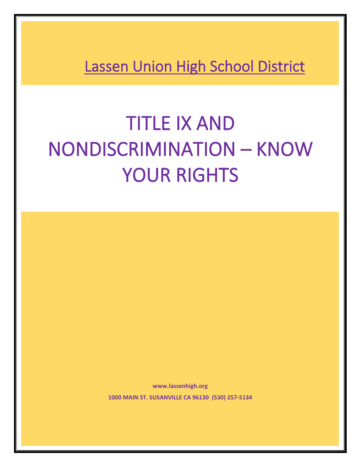**Lassen Union High School District** 

# TITLE IX AND NONDISCRIMINATION – KNOW YOUR RIGHTS

**www.lassenhigh.org 1000 MAIN ST. SUSANVILLE CA 96130 (530) 257-5134**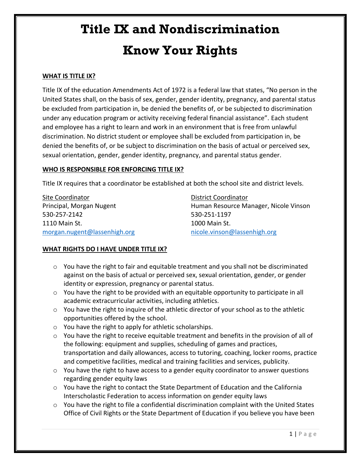#### **WHAT IS TITLE IX?**

Title IX of the education Amendments Act of 1972 is a federal law that states, "No person in the United States shall, on the basis of sex, gender, gender identity, pregnancy, and parental status be excluded from participation in, be denied the benefits of, or be subjected to discrimination under any education program or activity receiving federal financial assistance". Each student and employee has a right to learn and work in an environment that is free from unlawful discrimination. No district student or employee shall be excluded from participation in, be denied the benefits of, or be subject to discrimination on the basis of actual or perceived sex, sexual orientation, gender, gender identity, pregnancy, and parental status gender.

#### **WHO IS RESPONSIBLE FOR ENFORCING TITLE IX?**

Title IX requires that a coordinator be established at both the school site and district levels.

Site Coordinator **District Coordinator** 530-257-2142 530-251-1197 1110 Main St. 1000 Main St. [morgan.nugent@lassenhigh.org](mailto:morgan.nugent@lassenhigh.org) [nicole.vinson@lassenhigh.org](mailto:nicole.vinson@lassenhigh.org)

Principal, Morgan Nugent Human Resource Manager, Nicole Vinson

#### **WHAT RIGHTS DO I HAVE UNDER TITLE IX?**

- $\circ$  You have the right to fair and equitable treatment and you shall not be discriminated against on the basis of actual or perceived sex, sexual orientation, gender, or gender identity or expression, pregnancy or parental status.
- $\circ$  You have the right to be provided with an equitable opportunity to participate in all academic extracurricular activities, including athletics.
- $\circ$  You have the right to inquire of the athletic director of your school as to the athletic opportunities offered by the school.
- o You have the right to apply for athletic scholarships.
- $\circ$  You have the right to receive equitable treatment and benefits in the provision of all of the following: equipment and supplies, scheduling of games and practices, transportation and daily allowances, access to tutoring, coaching, locker rooms, practice and competitive facilities, medical and training facilities and services, publicity.
- $\circ$  You have the right to have access to a gender equity coordinator to answer questions regarding gender equity laws
- $\circ$  You have the right to contact the State Department of Education and the California Interscholastic Federation to access information on gender equity laws
- $\circ$  You have the right to file a confidential discrimination complaint with the United States Office of Civil Rights or the State Department of Education if you believe you have been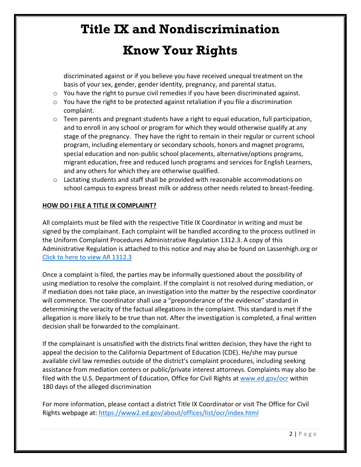# **Title IX and Nondiscrimination**

### **Know Your Rights**

discriminated against or if you believe you have received unequal treatment on the basis of your sex, gender, gender identity, pregnancy, and parental status.

- $\circ$  You have the right to pursue civil remedies if you have been discriminated against.
- $\circ$  You have the right to be protected against retaliation if you file a discrimination complaint.
- $\circ$  Teen parents and pregnant students have a right to equal education, full participation, and to enroll in any school or program for which they would otherwise qualify at any stage of the pregnancy. They have the right to remain in their regular or current school program, including elementary or secondary schools, honors and magnet programs, special education and non-public school placements, alternative/options programs, migrant education, free and reduced lunch programs and services for English Learners, and any others for which they are otherwise qualified.
- o Lactating students and staff shall be provided with reasonable accommodations on school campus to express breast milk or address other needs related to breast-feeding.

#### **HOW DO I FILE A TITLE IX COMPLAINT?**

All complaints must be filed with the respective Title IX Coordinator in writing and must be signed by the complainant. Each complaint will be handled according to the process outlined in the Uniform Complaint Procedures Administrative Regulation 1312.3. A copy of this Administrative Regulation is attached to this notice and may also be found on Lassenhigh.org or [Click to here to view AR 1312.3](https://lcoe-my.sharepoint.com/personal/lhs_web_lassenhigh_org/_layouts/15/Doc.aspx?sourcedoc=%7bb42cd0b6-fdbc-4cb2-b767-914e428520a5%7d&action=view&wd=target%28LUHSD%20Policies%2C%20Regulations%20and%20Bylaws%20Directory.one%7Cadf52c91-40db-43e1-9a6e-1d07063967ba%2FAR%201312.3%20Uniform%20Complaint%20Procedures%7Cb896dc01-9fde-4202-815a-d87c13656ee1%2F%29&wdorigin=NavigationUrl)

Once a complaint is filed, the parties may be informally questioned about the possibility of using mediation to resolve the complaint. If the complaint is not resolved during mediation, or if mediation does not take place, an investigation into the matter by the respective coordinator will commence. The coordinator shall use a "preponderance of the evidence" standard in determining the veracity of the factual allegations in the complaint. This standard is met if the allegation is more likely to be true than not. After the investigation is completed, a final written decision shall be forwarded to the complainant.

If the complainant is unsatisfied with the districts final written decision, they have the right to appeal the decision to the California Department of Education (CDE). He/she may pursue available civil law remedies outside of the district's complaint procedures, including seeking assistance from mediation centers or public/private interest attorneys. Complaints may also be filed with the U.S. Department of Education, Office for Civil Rights at [www.ed.gov/ocr](http://www.ed.gov/ocr) within 180 days of the alleged discrimination

For more information, please contact a district Title IX Coordinator or visit The Office for Civil Rights webpage at:<https://www2.ed.gov/about/offices/list/ocr/index.html>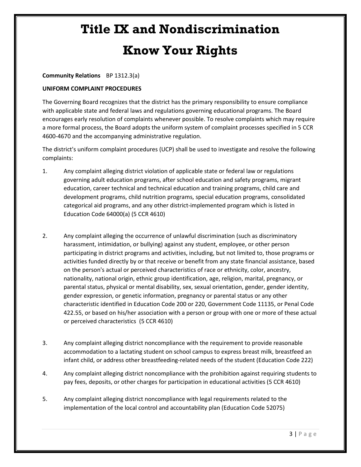#### **Community Relations** BP 1312.3(a)

#### **UNIFORM COMPLAINT PROCEDURES**

The Governing Board recognizes that the district has the primary responsibility to ensure compliance with applicable state and federal laws and regulations governing educational programs. The Board encourages early resolution of complaints whenever possible. To resolve complaints which may require a more formal process, the Board adopts the uniform system of complaint processes specified in 5 CCR 4600-4670 and the accompanying administrative regulation.

The district's uniform complaint procedures (UCP) shall be used to investigate and resolve the following complaints:

- 1. Any complaint alleging district violation of applicable state or federal law or regulations governing adult education programs, after school education and safety programs, migrant education, career technical and technical education and training programs, child care and development programs, child nutrition programs, special education programs, consolidated categorical aid programs, and any other district-implemented program which is listed in Education Code 64000(a) (5 CCR 4610)
- 2. Any complaint alleging the occurrence of unlawful discrimination (such as discriminatory harassment, intimidation, or bullying) against any student, employee, or other person participating in district programs and activities, including, but not limited to, those programs or activities funded directly by or that receive or benefit from any state financial assistance, based on the person's actual or perceived characteristics of race or ethnicity, color, ancestry, nationality, national origin, ethnic group identification, age, religion, marital, pregnancy, or parental status, physical or mental disability, sex, sexual orientation, gender, gender identity, gender expression, or genetic information, pregnancy or parental status or any other characteristic identified in Education Code 200 or 220, Government Code 11135, or Penal Code 422.55, or based on his/her association with a person or group with one or more of these actual or perceived characteristics (5 CCR 4610)
- 3. Any complaint alleging district noncompliance with the requirement to provide reasonable accommodation to a lactating student on school campus to express breast milk, breastfeed an infant child, or address other breastfeeding-related needs of the student (Education Code 222)
- 4. Any complaint alleging district noncompliance with the prohibition against requiring students to pay fees, deposits, or other charges for participation in educational activities (5 CCR 4610)
- 5. Any complaint alleging district noncompliance with legal requirements related to the implementation of the local control and accountability plan (Education Code 52075)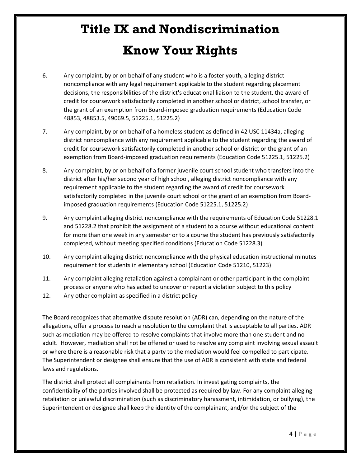- 6. Any complaint, by or on behalf of any student who is a foster youth, alleging district noncompliance with any legal requirement applicable to the student regarding placement decisions, the responsibilities of the district's educational liaison to the student, the award of credit for coursework satisfactorily completed in another school or district, school transfer, or the grant of an exemption from Board-imposed graduation requirements (Education Code 48853, 48853.5, 49069.5, 51225.1, 51225.2)
- 7. Any complaint, by or on behalf of a homeless student as defined in 42 USC 11434a, alleging district noncompliance with any requirement applicable to the student regarding the award of credit for coursework satisfactorily completed in another school or district or the grant of an exemption from Board-imposed graduation requirements (Education Code 51225.1, 51225.2)
- 8. Any complaint, by or on behalf of a former juvenile court school student who transfers into the district after his/her second year of high school, alleging district noncompliance with any requirement applicable to the student regarding the award of credit for coursework satisfactorily completed in the juvenile court school or the grant of an exemption from Boardimposed graduation requirements (Education Code 51225.1, 51225.2)
- 9. Any complaint alleging district noncompliance with the requirements of Education Code 51228.1 and 51228.2 that prohibit the assignment of a student to a course without educational content for more than one week in any semester or to a course the student has previously satisfactorily completed, without meeting specified conditions (Education Code 51228.3)
- 10. Any complaint alleging district noncompliance with the physical education instructional minutes requirement for students in elementary school (Education Code 51210, 51223)
- 11. Any complaint alleging retaliation against a complainant or other participant in the complaint process or anyone who has acted to uncover or report a violation subject to this policy
- 12. Any other complaint as specified in a district policy

The Board recognizes that alternative dispute resolution (ADR) can, depending on the nature of the allegations, offer a process to reach a resolution to the complaint that is acceptable to all parties. ADR such as mediation may be offered to resolve complaints that involve more than one student and no adult. However, mediation shall not be offered or used to resolve any complaint involving sexual assault or where there is a reasonable risk that a party to the mediation would feel compelled to participate. The Superintendent or designee shall ensure that the use of ADR is consistent with state and federal laws and regulations.

The district shall protect all complainants from retaliation. In investigating complaints, the confidentiality of the parties involved shall be protected as required by law. For any complaint alleging retaliation or unlawful discrimination (such as discriminatory harassment, intimidation, or bullying), the Superintendent or designee shall keep the identity of the complainant, and/or the subject of the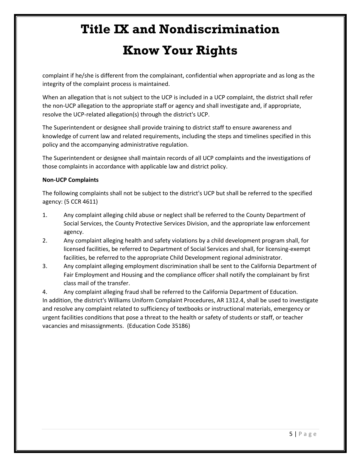complaint if he/she is different from the complainant, confidential when appropriate and as long as the integrity of the complaint process is maintained.

When an allegation that is not subject to the UCP is included in a UCP complaint, the district shall refer the non-UCP allegation to the appropriate staff or agency and shall investigate and, if appropriate, resolve the UCP-related allegation(s) through the district's UCP.

The Superintendent or designee shall provide training to district staff to ensure awareness and knowledge of current law and related requirements, including the steps and timelines specified in this policy and the accompanying administrative regulation.

The Superintendent or designee shall maintain records of all UCP complaints and the investigations of those complaints in accordance with applicable law and district policy.

#### **Non-UCP Complaints**

The following complaints shall not be subject to the district's UCP but shall be referred to the specified agency: (5 CCR 4611)

- 1. Any complaint alleging child abuse or neglect shall be referred to the County Department of Social Services, the County Protective Services Division, and the appropriate law enforcement agency.
- 2. Any complaint alleging health and safety violations by a child development program shall, for licensed facilities, be referred to Department of Social Services and shall, for licensing-exempt facilities, be referred to the appropriate Child Development regional administrator.
- 3. Any complaint alleging employment discrimination shall be sent to the California Department of Fair Employment and Housing and the compliance officer shall notify the complainant by first class mail of the transfer.

4. Any complaint alleging fraud shall be referred to the California Department of Education. In addition, the district's Williams Uniform Complaint Procedures, AR 1312.4, shall be used to investigate and resolve any complaint related to sufficiency of textbooks or instructional materials, emergency or urgent facilities conditions that pose a threat to the health or safety of students or staff, or teacher vacancies and misassignments. (Education Code 35186)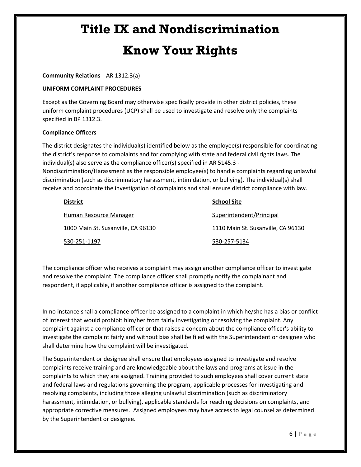#### **Community Relations** AR 1312.3(a)

#### **UNIFORM COMPLAINT PROCEDURES**

Except as the Governing Board may otherwise specifically provide in other district policies, these uniform complaint procedures (UCP) shall be used to investigate and resolve only the complaints specified in BP 1312.3.

#### **Compliance Officers**

The district designates the individual(s) identified below as the employee(s) responsible for coordinating the district's response to complaints and for complying with state and federal civil rights laws. The individual(s) also serve as the compliance officer(s) specified in AR 5145.3 -

Nondiscrimination/Harassment as the responsible employee(s) to handle complaints regarding unlawful discrimination (such as discriminatory harassment, intimidation, or bullying). The individual(s) shall receive and coordinate the investigation of complaints and shall ensure district compliance with law.

| <b>District</b>                    | <b>School Site</b>                 |
|------------------------------------|------------------------------------|
| Human Resource Manager             | Superintendent/Principal           |
| 1000 Main St. Susanville, CA 96130 | 1110 Main St. Susanville, CA 96130 |
| 530-251-1197                       | 530-257-5134                       |

The compliance officer who receives a complaint may assign another compliance officer to investigate and resolve the complaint. The compliance officer shall promptly notify the complainant and respondent, if applicable, if another compliance officer is assigned to the complaint.

In no instance shall a compliance officer be assigned to a complaint in which he/she has a bias or conflict of interest that would prohibit him/her from fairly investigating or resolving the complaint. Any complaint against a compliance officer or that raises a concern about the compliance officer's ability to investigate the complaint fairly and without bias shall be filed with the Superintendent or designee who shall determine how the complaint will be investigated.

The Superintendent or designee shall ensure that employees assigned to investigate and resolve complaints receive training and are knowledgeable about the laws and programs at issue in the complaints to which they are assigned. Training provided to such employees shall cover current state and federal laws and regulations governing the program, applicable processes for investigating and resolving complaints, including those alleging unlawful discrimination (such as discriminatory harassment, intimidation, or bullying), applicable standards for reaching decisions on complaints, and appropriate corrective measures. Assigned employees may have access to legal counsel as determined by the Superintendent or designee.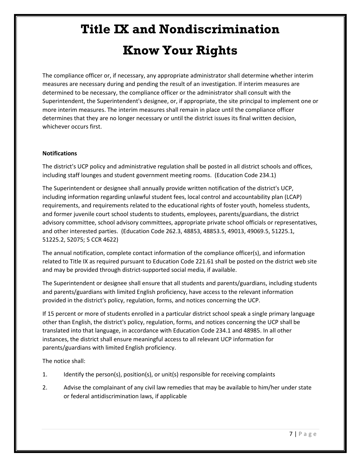The compliance officer or, if necessary, any appropriate administrator shall determine whether interim measures are necessary during and pending the result of an investigation. If interim measures are determined to be necessary, the compliance officer or the administrator shall consult with the Superintendent, the Superintendent's designee, or, if appropriate, the site principal to implement one or more interim measures. The interim measures shall remain in place until the compliance officer determines that they are no longer necessary or until the district issues its final written decision, whichever occurs first.

#### **Notifications**

The district's UCP policy and administrative regulation shall be posted in all district schools and offices, including staff lounges and student government meeting rooms. (Education Code 234.1)

The Superintendent or designee shall annually provide written notification of the district's UCP, including information regarding unlawful student fees, local control and accountability plan (LCAP) requirements, and requirements related to the educational rights of foster youth, homeless students, and former juvenile court school students to students, employees, parents/guardians, the district advisory committee, school advisory committees, appropriate private school officials or representatives, and other interested parties. (Education Code 262.3, 48853, 48853.5, 49013, 49069.5, 51225.1, 51225.2, 52075; 5 CCR 4622)

The annual notification, complete contact information of the compliance officer(s), and information related to Title IX as required pursuant to Education Code 221.61 shall be posted on the district web site and may be provided through district-supported social media, if available.

The Superintendent or designee shall ensure that all students and parents/guardians, including students and parents/guardians with limited English proficiency, have access to the relevant information provided in the district's policy, regulation, forms, and notices concerning the UCP.

If 15 percent or more of students enrolled in a particular district school speak a single primary language other than English, the district's policy, regulation, forms, and notices concerning the UCP shall be translated into that language, in accordance with Education Code 234.1 and 48985. In all other instances, the district shall ensure meaningful access to all relevant UCP information for parents/guardians with limited English proficiency.

The notice shall:

- 1. Identify the person(s), position(s), or unit(s) responsible for receiving complaints
- 2. Advise the complainant of any civil law remedies that may be available to him/her under state or federal antidiscrimination laws, if applicable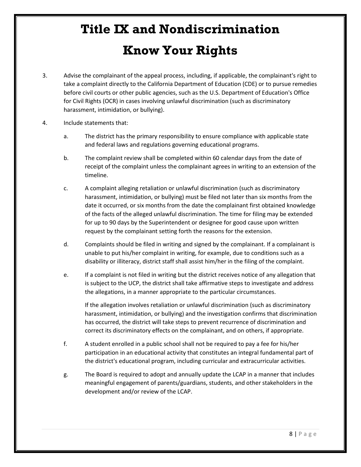- 3. Advise the complainant of the appeal process, including, if applicable, the complainant's right to take a complaint directly to the California Department of Education (CDE) or to pursue remedies before civil courts or other public agencies, such as the U.S. Department of Education's Office for Civil Rights (OCR) in cases involving unlawful discrimination (such as discriminatory harassment, intimidation, or bullying).
- 4. Include statements that:
	- a. The district has the primary responsibility to ensure compliance with applicable state and federal laws and regulations governing educational programs.
	- b. The complaint review shall be completed within 60 calendar days from the date of receipt of the complaint unless the complainant agrees in writing to an extension of the timeline.
	- c. A complaint alleging retaliation or unlawful discrimination (such as discriminatory harassment, intimidation, or bullying) must be filed not later than six months from the date it occurred, or six months from the date the complainant first obtained knowledge of the facts of the alleged unlawful discrimination. The time for filing may be extended for up to 90 days by the Superintendent or designee for good cause upon written request by the complainant setting forth the reasons for the extension.
	- d. Complaints should be filed in writing and signed by the complainant. If a complainant is unable to put his/her complaint in writing, for example, due to conditions such as a disability or illiteracy, district staff shall assist him/her in the filing of the complaint.
	- e. If a complaint is not filed in writing but the district receives notice of any allegation that is subject to the UCP, the district shall take affirmative steps to investigate and address the allegations, in a manner appropriate to the particular circumstances.

If the allegation involves retaliation or unlawful discrimination (such as discriminatory harassment, intimidation, or bullying) and the investigation confirms that discrimination has occurred, the district will take steps to prevent recurrence of discrimination and correct its discriminatory effects on the complainant, and on others, if appropriate.

- f. A student enrolled in a public school shall not be required to pay a fee for his/her participation in an educational activity that constitutes an integral fundamental part of the district's educational program, including curricular and extracurricular activities.
- g. The Board is required to adopt and annually update the LCAP in a manner that includes meaningful engagement of parents/guardians, students, and other stakeholders in the development and/or review of the LCAP.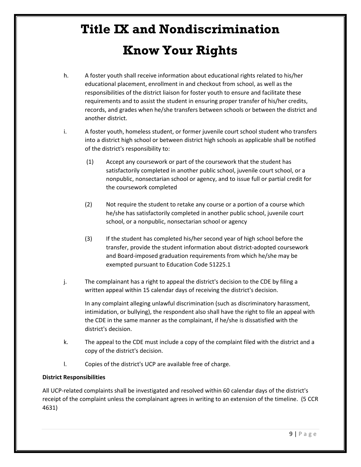- h. A foster youth shall receive information about educational rights related to his/her educational placement, enrollment in and checkout from school, as well as the responsibilities of the district liaison for foster youth to ensure and facilitate these requirements and to assist the student in ensuring proper transfer of his/her credits, records, and grades when he/she transfers between schools or between the district and another district.
- i. A foster youth, homeless student, or former juvenile court school student who transfers into a district high school or between district high schools as applicable shall be notified of the district's responsibility to:
	- (1) Accept any coursework or part of the coursework that the student has satisfactorily completed in another public school, juvenile court school, or a nonpublic, nonsectarian school or agency, and to issue full or partial credit for the coursework completed
	- (2) Not require the student to retake any course or a portion of a course which he/she has satisfactorily completed in another public school, juvenile court school, or a nonpublic, nonsectarian school or agency
	- (3) If the student has completed his/her second year of high school before the transfer, provide the student information about district-adopted coursework and Board-imposed graduation requirements from which he/she may be exempted pursuant to Education Code 51225.1
- j. The complainant has a right to appeal the district's decision to the CDE by filing a written appeal within 15 calendar days of receiving the district's decision.

In any complaint alleging unlawful discrimination (such as discriminatory harassment, intimidation, or bullying), the respondent also shall have the right to file an appeal with the CDE in the same manner as the complainant, if he/she is dissatisfied with the district's decision.

- k. The appeal to the CDE must include a copy of the complaint filed with the district and a copy of the district's decision.
- l. Copies of the district's UCP are available free of charge.

#### **District Responsibilities**

All UCP-related complaints shall be investigated and resolved within 60 calendar days of the district's receipt of the complaint unless the complainant agrees in writing to an extension of the timeline. (5 CCR 4631)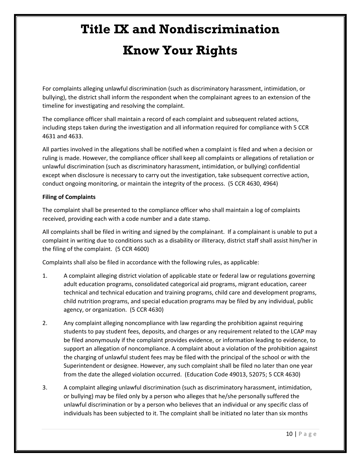For complaints alleging unlawful discrimination (such as discriminatory harassment, intimidation, or bullying), the district shall inform the respondent when the complainant agrees to an extension of the timeline for investigating and resolving the complaint.

The compliance officer shall maintain a record of each complaint and subsequent related actions, including steps taken during the investigation and all information required for compliance with 5 CCR 4631 and 4633.

All parties involved in the allegations shall be notified when a complaint is filed and when a decision or ruling is made. However, the compliance officer shall keep all complaints or allegations of retaliation or unlawful discrimination (such as discriminatory harassment, intimidation, or bullying) confidential except when disclosure is necessary to carry out the investigation, take subsequent corrective action, conduct ongoing monitoring, or maintain the integrity of the process. (5 CCR 4630, 4964)

#### **Filing of Complaints**

The complaint shall be presented to the compliance officer who shall maintain a log of complaints received, providing each with a code number and a date stamp.

All complaints shall be filed in writing and signed by the complainant. If a complainant is unable to put a complaint in writing due to conditions such as a disability or illiteracy, district staff shall assist him/her in the filing of the complaint. (5 CCR 4600)

Complaints shall also be filed in accordance with the following rules, as applicable:

- 1. A complaint alleging district violation of applicable state or federal law or regulations governing adult education programs, consolidated categorical aid programs, migrant education, career technical and technical education and training programs, child care and development programs, child nutrition programs, and special education programs may be filed by any individual, public agency, or organization. (5 CCR 4630)
- 2. Any complaint alleging noncompliance with law regarding the prohibition against requiring students to pay student fees, deposits, and charges or any requirement related to the LCAP may be filed anonymously if the complaint provides evidence, or information leading to evidence, to support an allegation of noncompliance. A complaint about a violation of the prohibition against the charging of unlawful student fees may be filed with the principal of the school or with the Superintendent or designee. However, any such complaint shall be filed no later than one year from the date the alleged violation occurred. (Education Code 49013, 52075; 5 CCR 4630)
- 3. A complaint alleging unlawful discrimination (such as discriminatory harassment, intimidation, or bullying) may be filed only by a person who alleges that he/she personally suffered the unlawful discrimination or by a person who believes that an individual or any specific class of individuals has been subjected to it. The complaint shall be initiated no later than six months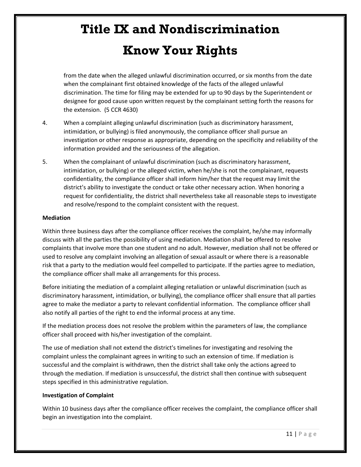# **Title IX and Nondiscrimination**

### **Know Your Rights**

from the date when the alleged unlawful discrimination occurred, or six months from the date when the complainant first obtained knowledge of the facts of the alleged unlawful discrimination. The time for filing may be extended for up to 90 days by the Superintendent or designee for good cause upon written request by the complainant setting forth the reasons for the extension. (5 CCR 4630)

- 4. When a complaint alleging unlawful discrimination (such as discriminatory harassment, intimidation, or bullying) is filed anonymously, the compliance officer shall pursue an investigation or other response as appropriate, depending on the specificity and reliability of the information provided and the seriousness of the allegation.
- 5. When the complainant of unlawful discrimination (such as discriminatory harassment, intimidation, or bullying) or the alleged victim, when he/she is not the complainant, requests confidentiality, the compliance officer shall inform him/her that the request may limit the district's ability to investigate the conduct or take other necessary action. When honoring a request for confidentiality, the district shall nevertheless take all reasonable steps to investigate and resolve/respond to the complaint consistent with the request.

#### **Mediation**

Within three business days after the compliance officer receives the complaint, he/she may informally discuss with all the parties the possibility of using mediation. Mediation shall be offered to resolve complaints that involve more than one student and no adult. However, mediation shall not be offered or used to resolve any complaint involving an allegation of sexual assault or where there is a reasonable risk that a party to the mediation would feel compelled to participate. If the parties agree to mediation, the compliance officer shall make all arrangements for this process.

Before initiating the mediation of a complaint alleging retaliation or unlawful discrimination (such as discriminatory harassment, intimidation, or bullying), the compliance officer shall ensure that all parties agree to make the mediator a party to relevant confidential information. The compliance officer shall also notify all parties of the right to end the informal process at any time.

If the mediation process does not resolve the problem within the parameters of law, the compliance officer shall proceed with his/her investigation of the complaint.

The use of mediation shall not extend the district's timelines for investigating and resolving the complaint unless the complainant agrees in writing to such an extension of time. If mediation is successful and the complaint is withdrawn, then the district shall take only the actions agreed to through the mediation. If mediation is unsuccessful, the district shall then continue with subsequent steps specified in this administrative regulation.

#### **Investigation of Complaint**

Within 10 business days after the compliance officer receives the complaint, the compliance officer shall begin an investigation into the complaint.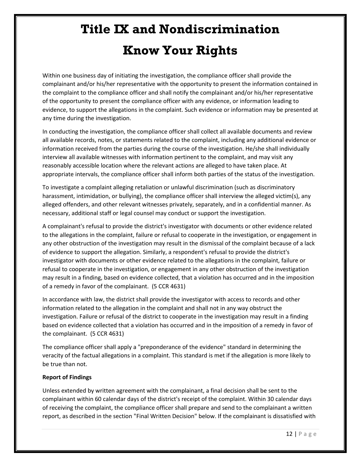Within one business day of initiating the investigation, the compliance officer shall provide the complainant and/or his/her representative with the opportunity to present the information contained in the complaint to the compliance officer and shall notify the complainant and/or his/her representative of the opportunity to present the compliance officer with any evidence, or information leading to evidence, to support the allegations in the complaint. Such evidence or information may be presented at any time during the investigation.

In conducting the investigation, the compliance officer shall collect all available documents and review all available records, notes, or statements related to the complaint, including any additional evidence or information received from the parties during the course of the investigation. He/she shall individually interview all available witnesses with information pertinent to the complaint, and may visit any reasonably accessible location where the relevant actions are alleged to have taken place. At appropriate intervals, the compliance officer shall inform both parties of the status of the investigation.

To investigate a complaint alleging retaliation or unlawful discrimination (such as discriminatory harassment, intimidation, or bullying), the compliance officer shall interview the alleged victim(s), any alleged offenders, and other relevant witnesses privately, separately, and in a confidential manner. As necessary, additional staff or legal counsel may conduct or support the investigation.

A complainant's refusal to provide the district's investigator with documents or other evidence related to the allegations in the complaint, failure or refusal to cooperate in the investigation, or engagement in any other obstruction of the investigation may result in the dismissal of the complaint because of a lack of evidence to support the allegation. Similarly, a respondent's refusal to provide the district's investigator with documents or other evidence related to the allegations in the complaint, failure or refusal to cooperate in the investigation, or engagement in any other obstruction of the investigation may result in a finding, based on evidence collected, that a violation has occurred and in the imposition of a remedy in favor of the complainant. (5 CCR 4631)

In accordance with law, the district shall provide the investigator with access to records and other information related to the allegation in the complaint and shall not in any way obstruct the investigation. Failure or refusal of the district to cooperate in the investigation may result in a finding based on evidence collected that a violation has occurred and in the imposition of a remedy in favor of the complainant. (5 CCR 4631)

The compliance officer shall apply a "preponderance of the evidence" standard in determining the veracity of the factual allegations in a complaint. This standard is met if the allegation is more likely to be true than not.

#### **Report of Findings**

Unless extended by written agreement with the complainant, a final decision shall be sent to the complainant within 60 calendar days of the district's receipt of the complaint. Within 30 calendar days of receiving the complaint, the compliance officer shall prepare and send to the complainant a written report, as described in the section "Final Written Decision" below. If the complainant is dissatisfied with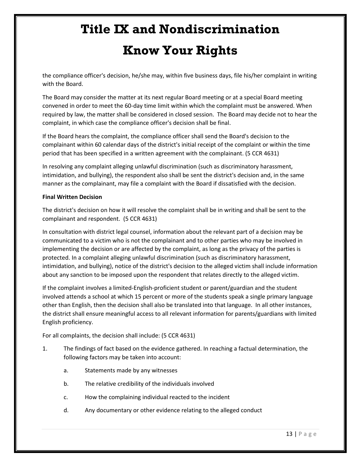the compliance officer's decision, he/she may, within five business days, file his/her complaint in writing with the Board.

The Board may consider the matter at its next regular Board meeting or at a special Board meeting convened in order to meet the 60-day time limit within which the complaint must be answered. When required by law, the matter shall be considered in closed session. The Board may decide not to hear the complaint, in which case the compliance officer's decision shall be final.

If the Board hears the complaint, the compliance officer shall send the Board's decision to the complainant within 60 calendar days of the district's initial receipt of the complaint or within the time period that has been specified in a written agreement with the complainant. (5 CCR 4631)

In resolving any complaint alleging unlawful discrimination (such as discriminatory harassment, intimidation, and bullying), the respondent also shall be sent the district's decision and, in the same manner as the complainant, may file a complaint with the Board if dissatisfied with the decision.

#### **Final Written Decision**

The district's decision on how it will resolve the complaint shall be in writing and shall be sent to the complainant and respondent. (5 CCR 4631)

In consultation with district legal counsel, information about the relevant part of a decision may be communicated to a victim who is not the complainant and to other parties who may be involved in implementing the decision or are affected by the complaint, as long as the privacy of the parties is protected. In a complaint alleging unlawful discrimination (such as discriminatory harassment, intimidation, and bullying), notice of the district's decision to the alleged victim shall include information about any sanction to be imposed upon the respondent that relates directly to the alleged victim.

If the complaint involves a limited-English-proficient student or parent/guardian and the student involved attends a school at which 15 percent or more of the students speak a single primary language other than English, then the decision shall also be translated into that language. In all other instances, the district shall ensure meaningful access to all relevant information for parents/guardians with limited English proficiency.

For all complaints, the decision shall include: (5 CCR 4631)

- 1. The findings of fact based on the evidence gathered. In reaching a factual determination, the following factors may be taken into account:
	- a. Statements made by any witnesses
	- b. The relative credibility of the individuals involved
	- c. How the complaining individual reacted to the incident
	- d. Any documentary or other evidence relating to the alleged conduct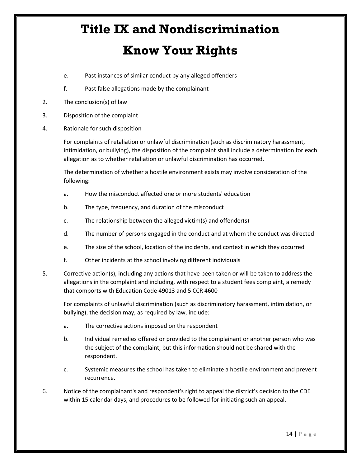- e. Past instances of similar conduct by any alleged offenders
- f. Past false allegations made by the complainant
- 2. The conclusion(s) of law
- 3. Disposition of the complaint
- 4. Rationale for such disposition

For complaints of retaliation or unlawful discrimination (such as discriminatory harassment, intimidation, or bullying), the disposition of the complaint shall include a determination for each allegation as to whether retaliation or unlawful discrimination has occurred.

The determination of whether a hostile environment exists may involve consideration of the following:

- a. How the misconduct affected one or more students' education
- b. The type, frequency, and duration of the misconduct
- c. The relationship between the alleged victim(s) and offender(s)
- d. The number of persons engaged in the conduct and at whom the conduct was directed
- e. The size of the school, location of the incidents, and context in which they occurred
- f. Other incidents at the school involving different individuals
- 5. Corrective action(s), including any actions that have been taken or will be taken to address the allegations in the complaint and including, with respect to a student fees complaint, a remedy that comports with Education Code 49013 and 5 CCR 4600

For complaints of unlawful discrimination (such as discriminatory harassment, intimidation, or bullying), the decision may, as required by law, include:

- a. The corrective actions imposed on the respondent
- b. Individual remedies offered or provided to the complainant or another person who was the subject of the complaint, but this information should not be shared with the respondent.
- c. Systemic measures the school has taken to eliminate a hostile environment and prevent recurrence.
- 6. Notice of the complainant's and respondent's right to appeal the district's decision to the CDE within 15 calendar days, and procedures to be followed for initiating such an appeal.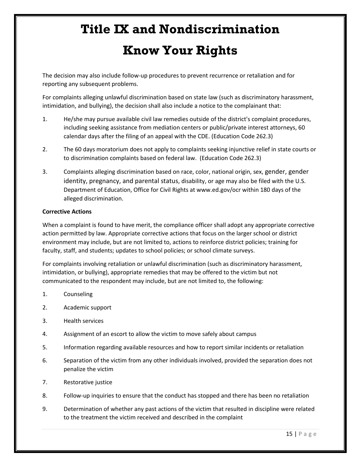The decision may also include follow-up procedures to prevent recurrence or retaliation and for reporting any subsequent problems.

For complaints alleging unlawful discrimination based on state law (such as discriminatory harassment, intimidation, and bullying), the decision shall also include a notice to the complainant that:

- 1. He/she may pursue available civil law remedies outside of the district's complaint procedures, including seeking assistance from mediation centers or public/private interest attorneys, 60 calendar days after the filing of an appeal with the CDE. (Education Code 262.3)
- 2. The 60 days moratorium does not apply to complaints seeking injunctive relief in state courts or to discrimination complaints based on federal law. (Education Code 262.3)
- 3. Complaints alleging discrimination based on race, color, national origin, sex, gender, gender identity, pregnancy, and parental status, disability, or age may also be filed with the U.S. Department of Education, Office for Civil Rights at www.ed.gov/ocr within 180 days of the alleged discrimination.

#### **Corrective Actions**

When a complaint is found to have merit, the compliance officer shall adopt any appropriate corrective action permitted by law. Appropriate corrective actions that focus on the larger school or district environment may include, but are not limited to, actions to reinforce district policies; training for faculty, staff, and students; updates to school policies; or school climate surveys.

For complaints involving retaliation or unlawful discrimination (such as discriminatory harassment, intimidation, or bullying), appropriate remedies that may be offered to the victim but not communicated to the respondent may include, but are not limited to, the following:

- 1. Counseling
- 2. Academic support
- 3. Health services
- 4. Assignment of an escort to allow the victim to move safely about campus
- 5. Information regarding available resources and how to report similar incidents or retaliation
- 6. Separation of the victim from any other individuals involved, provided the separation does not penalize the victim
- 7. Restorative justice
- 8. Follow-up inquiries to ensure that the conduct has stopped and there has been no retaliation
- 9. Determination of whether any past actions of the victim that resulted in discipline were related to the treatment the victim received and described in the complaint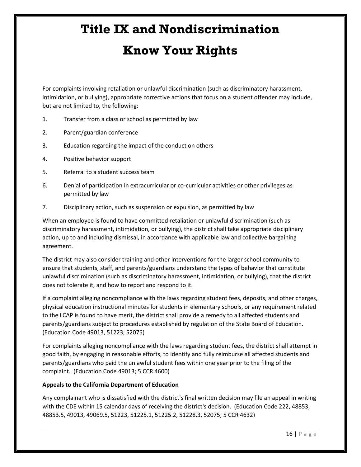For complaints involving retaliation or unlawful discrimination (such as discriminatory harassment, intimidation, or bullying), appropriate corrective actions that focus on a student offender may include, but are not limited to, the following:

- 1. Transfer from a class or school as permitted by law
- 2. Parent/guardian conference
- 3. Education regarding the impact of the conduct on others
- 4. Positive behavior support
- 5. Referral to a student success team
- 6. Denial of participation in extracurricular or co-curricular activities or other privileges as permitted by law
- 7. Disciplinary action, such as suspension or expulsion, as permitted by law

When an employee is found to have committed retaliation or unlawful discrimination (such as discriminatory harassment, intimidation, or bullying), the district shall take appropriate disciplinary action, up to and including dismissal, in accordance with applicable law and collective bargaining agreement.

The district may also consider training and other interventions for the larger school community to ensure that students, staff, and parents/guardians understand the types of behavior that constitute unlawful discrimination (such as discriminatory harassment, intimidation, or bullying), that the district does not tolerate it, and how to report and respond to it.

If a complaint alleging noncompliance with the laws regarding student fees, deposits, and other charges, physical education instructional minutes for students in elementary schools, or any requirement related to the LCAP is found to have merit, the district shall provide a remedy to all affected students and parents/guardians subject to procedures established by regulation of the State Board of Education. (Education Code 49013, 51223, 52075)

For complaints alleging noncompliance with the laws regarding student fees, the district shall attempt in good faith, by engaging in reasonable efforts, to identify and fully reimburse all affected students and parents/guardians who paid the unlawful student fees within one year prior to the filing of the complaint. (Education Code 49013; 5 CCR 4600)

#### **Appeals to the California Department of Education**

Any complainant who is dissatisfied with the district's final written decision may file an appeal in writing with the CDE within 15 calendar days of receiving the district's decision. (Education Code 222, 48853, 48853.5, 49013, 49069.5, 51223, 51225.1, 51225.2, 51228.3, 52075; 5 CCR 4632)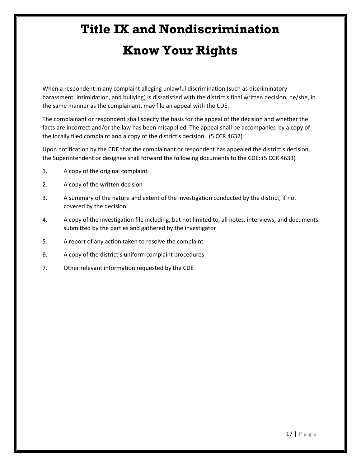When a respondent in any complaint alleging unlawful discrimination (such as discriminatory harassment, intimidation, and bullying) is dissatisfied with the district's final written decision, he/she, in the same manner as the complainant, may file an appeal with the CDE.

The complainant or respondent shall specify the basis for the appeal of the decision and whether the facts are incorrect and/or the law has been misapplied. The appeal shall be accompanied by a copy of the locally filed complaint and a copy of the district's decision. (5 CCR 4632)

Upon notification by the CDE that the complainant or respondent has appealed the district's decision, the Superintendent or designee shall forward the following documents to the CDE: (5 CCR 4633)

- 1. A copy of the original complaint
- 2. A copy of the written decision
- 3. A summary of the nature and extent of the investigation conducted by the district, if not covered by the decision
- 4. A copy of the investigation file including, but not limited to, all notes, interviews, and documents submitted by the parties and gathered by the investigator
- 5. A report of any action taken to resolve the complaint
- 6. A copy of the district's uniform complaint procedures
- 7. Other relevant information requested by the CDE